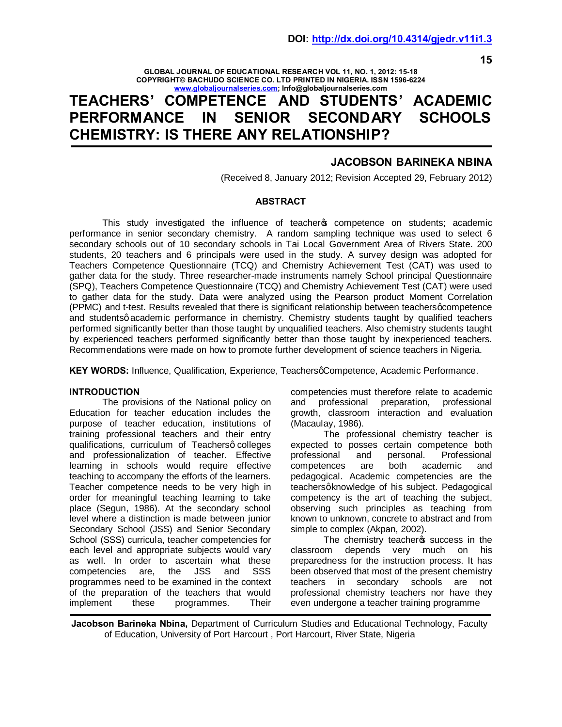**15**

#### **GLOBAL JOURNAL OF EDUCATIONAL RESEARCH VOL 11, NO. 1, 2012: 15-18 COPYRIGHT© BACHUDO SCIENCE CO. LTD PRINTED IN NIGERIA. ISSN 1596-6224 [www.globaljournalseries.](http://www.globaljournalseries.com/)com; Info@globaljournalseries.com**

# **TEACHERS' COMPETENCE AND STUDENTS' ACADEMIC PERFORMANCE IN SENIOR SECONDARY SCHOOLS CHEMISTRY: IS THERE ANY RELATIONSHIP?**

# **JACOBSON BARINEKA NBINA**

(Received 8, January 2012; Revision Accepted 29, February 2012)

## **ABSTRACT**

This study investigated the influence of teacher opmetence on students; academic performance in senior secondary chemistry. A random sampling technique was used to select 6 secondary schools out of 10 secondary schools in Tai Local Government Area of Rivers State. 200 students, 20 teachers and 6 principals were used in the study. A survey design was adopted for Teachers Competence Questionnaire (TCQ) and Chemistry Achievement Test (CAT) was used to gather data for the study. Three researcher-made instruments namely School principal Questionnaire (SPQ), Teachers Competence Questionnaire (TCQ) and Chemistry Achievement Test (CAT) were used to gather data for the study. Data were analyzed using the Pearson product Moment Correlation (PPMC) and t-test. Results revealed that there is significant relationship between teachers gcompetence and studentsq academic performance in chemistry. Chemistry students taught by qualified teachers performed significantly better than those taught by unqualified teachers. Also chemistry students taught by experienced teachers performed significantly better than those taught by inexperienced teachers. Recommendations were made on how to promote further development of science teachers in Nigeria.

**KEY WORDS:** Influence, Qualification, Experience, Teachers *d*Competence, Academic Performance.

## **INTRODUCTION**

The provisions of the National policy on Education for teacher education includes the purpose of teacher education, institutions of training professional teachers and their entry qualifications, curriculum of Teachersq colleges and professionalization of teacher. Effective learning in schools would require effective teaching to accompany the efforts of the learners. Teacher competence needs to be very high in order for meaningful teaching learning to take place (Segun, 1986). At the secondary school level where a distinction is made between junior Secondary School (JSS) and Senior Secondary School (SSS) curricula, teacher competencies for each level and appropriate subjects would vary as well. In order to ascertain what these competencies are, the JSS and SSS programmes need to be examined in the context of the preparation of the teachers that would implement these programmes. Their

competencies must therefore relate to academic and professional preparation, professional growth, classroom interaction and evaluation (Macaulay, 1986).

The professional chemistry teacher is expected to posses certain competence both<br>professional and personal. Professional professional and personal. Professional competences are both academic and pedagogical. Academic competencies are the teachersgknowledge of his subject. Pedagogical competency is the art of teaching the subject, observing such principles as teaching from known to unknown, concrete to abstract and from simple to complex (Akpan, 2002).

The chemistry teacher w success in the classroom depends very much on his preparedness for the instruction process. It has been observed that most of the present chemistry teachers in secondary schools are not professional chemistry teachers nor have they even undergone a teacher training programme

**Jacobson Barineka Nbina,** Department of Curriculum Studies and Educational Technology, Faculty of Education, University of Port Harcourt , Port Harcourt, River State, Nigeria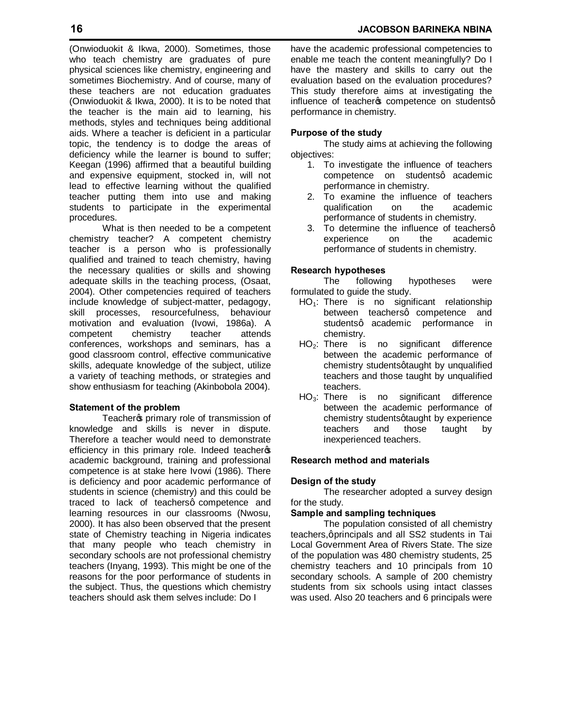(Onwioduokit & Ikwa, 2000). Sometimes, those who teach chemistry are graduates of pure physical sciences like chemistry, engineering and sometimes Biochemistry. And of course, many of these teachers are not education graduates (Onwioduokit & Ikwa, 2000). It is to be noted that the teacher is the main aid to learning, his methods, styles and techniques being additional aids. Where a teacher is deficient in a particular topic, the tendency is to dodge the areas of deficiency while the learner is bound to suffer; Keegan (1996) affirmed that a beautiful building and expensive equipment, stocked in, will not lead to effective learning without the qualified teacher putting them into use and making students to participate in the experimental procedures.

What is then needed to be a competent chemistry teacher? A competent chemistry teacher is a person who is professionally qualified and trained to teach chemistry, having the necessary qualities or skills and showing adequate skills in the teaching process, (Osaat, 2004). Other competencies required of teachers include knowledge of subject-matter, pedagogy, skill processes, resourcefulness, behaviour motivation and evaluation (Ivowi, 1986a). A competent chemistry teacher attends conferences, workshops and seminars, has a good classroom control, effective communicative skills, adequate knowledge of the subject, utilize a variety of teaching methods, or strategies and show enthusiasm for teaching (Akinbobola 2004).

## **Statement of the problem**

Teacher primary role of transmission of knowledge and skills is never in dispute. Therefore a teacher would need to demonstrate efficiency in this primary role. Indeed teachers academic background, training and professional competence is at stake here Ivowi (1986). There is deficiency and poor academic performance of students in science (chemistry) and this could be traced to lack of teachersq competence and learning resources in our classrooms (Nwosu, 2000). It has also been observed that the present state of Chemistry teaching in Nigeria indicates that many people who teach chemistry in secondary schools are not professional chemistry teachers (Inyang, 1993). This might be one of the reasons for the poor performance of students in the subject. Thus, the questions which chemistry teachers should ask them selves include: Do I

have the academic professional competencies to enable me teach the content meaningfully? Do I have the mastery and skills to carry out the evaluation based on the evaluation procedures? This study therefore aims at investigating the influence of teacher of competence on studentsq performance in chemistry.

## **Purpose of the study**

The study aims at achieving the following objectives:

- 1. To investigate the influence of teachers competence on studentsq academic performance in chemistry.
- 2. To examine the influence of teachers qualification on the academic performance of students in chemistry.
- 3. To determine the influence of teachersq experience on the academic performance of students in chemistry.

## **Research hypotheses**

The following hypotheses were formulated to guide the study.

- $HO_1$ : There is no significant relationship between teachersg competence and studentsq academic performance in chemistry.
- HO2: There is no significant difference between the academic performance of chemistry students gtaught by unqualified teachers and those taught by unqualified teachers.
- HO3: There is no significant difference between the academic performance of chemistry studentsqtaught by experience teachers and those taught by inexperienced teachers.

## **Research method and materials**

## **Design of the study**

The researcher adopted a survey design for the study.

## **Sample and sampling techniques**

The population consisted of all chemistry teachers, qprincipals and all SS2 students in Tai Local Government Area of Rivers State. The size of the population was 480 chemistry students, 25 chemistry teachers and 10 principals from 10 secondary schools. A sample of 200 chemistry students from six schools using intact classes was used. Also 20 teachers and 6 principals were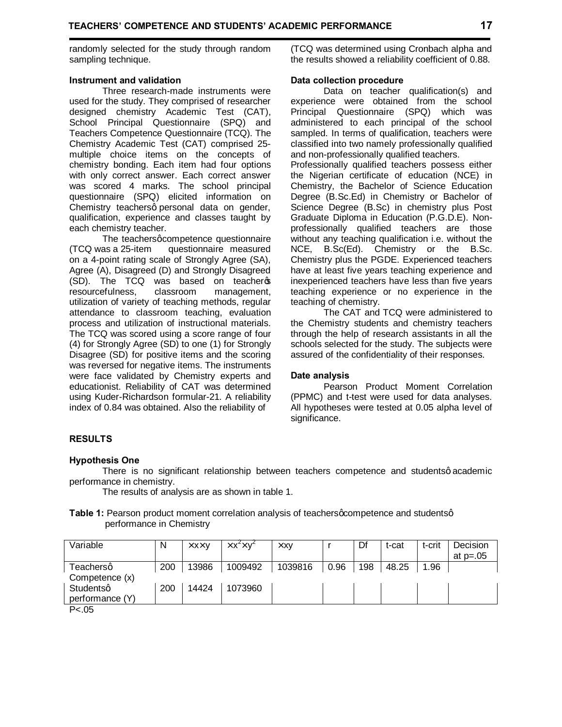randomly selected for the study through random sampling technique.

#### **Instrument and validation**

Three research-made instruments were used for the study. They comprised of researcher designed chemistry Academic Test (CAT), School Principal Questionnaire (SPQ) and Teachers Competence Questionnaire (TCQ). The Chemistry Academic Test (CAT) comprised 25 multiple choice items on the concepts of chemistry bonding. Each item had four options with only correct answer. Each correct answer was scored 4 marks. The school principal questionnaire (SPQ) elicited information on Chemistry teachersq personal data on gender, qualification, experience and classes taught by each chemistry teacher.

The teachers gcompetence questionnaire (TCQ was a 25-item questionnaire measured on a 4-point rating scale of Strongly Agree (SA), Agree (A), Disagreed (D) and Strongly Disagreed (SD). The TCQ was based on teachergs resourcefulness, classroom management, utilization of variety of teaching methods, regular attendance to classroom teaching, evaluation process and utilization of instructional materials. The TCQ was scored using a score range of four (4) for Strongly Agree (SD) to one (1) for Strongly Disagree (SD) for positive items and the scoring was reversed for negative items. The instruments were face validated by Chemistry experts and educationist. Reliability of CAT was determined using Kuder-Richardson formular-21. A reliability index of 0.84 was obtained. Also the reliability of

(TCQ was determined using Cronbach alpha and the results showed a reliability coefficient of 0.88.

#### **Data collection procedure**

Data on teacher qualification(s) and experience were obtained from the school Principal Questionnaire (SPQ) which was administered to each principal of the school sampled. In terms of qualification, teachers were classified into two namely professionally qualified and non-professionally qualified teachers.

Professionally qualified teachers possess either the Nigerian certificate of education (NCE) in Chemistry, the Bachelor of Science Education Degree (B.Sc.Ed) in Chemistry or Bachelor of Science Degree (B.Sc) in chemistry plus Post Graduate Diploma in Education (P.G.D.E). Nonprofessionally qualified teachers are those without any teaching qualification i.e. without the NCE, B.Sc(Ed). Chemistry or the B.Sc. Chemistry plus the PGDE. Experienced teachers have at least five years teaching experience and inexperienced teachers have less than five years teaching experience or no experience in the teaching of chemistry.

The CAT and TCQ were administered to the Chemistry students and chemistry teachers through the help of research assistants in all the schools selected for the study. The subjects were assured of the confidentiality of their responses.

## **Date analysis**

Pearson Product Moment Correlation (PPMC) and t-test were used for data analyses. All hypotheses were tested at 0.05 alpha level of significance.

# **RESULTS**

## **Hypothesis One**

There is no significant relationship between teachers competence and studentsq academic performance in chemistry.

The results of analysis are as shown in table 1.

#### **Table 1:** Pearson product moment correlation analysis of teachers gcompetence and students q performance in Chemistry

| Variable        | N   | n xn y | n x <sup>2</sup> n y <sup>2</sup> | n xy    |      | Df  | t-cat | t-crit | Decision   |
|-----------------|-----|--------|-----------------------------------|---------|------|-----|-------|--------|------------|
|                 |     |        |                                   |         |      |     |       |        | at $p=.05$ |
| Teachersq       | 200 | 13986  | 1009492                           | 1039816 | 0.96 | 198 | 48.25 | 1.96   |            |
| Competence (x)  |     |        |                                   |         |      |     |       |        |            |
| Studentsq       | 200 | 14424  | 1073960                           |         |      |     |       |        |            |
| performance (Y) |     |        |                                   |         |      |     |       |        |            |
| P < .05         |     |        |                                   |         |      |     |       |        |            |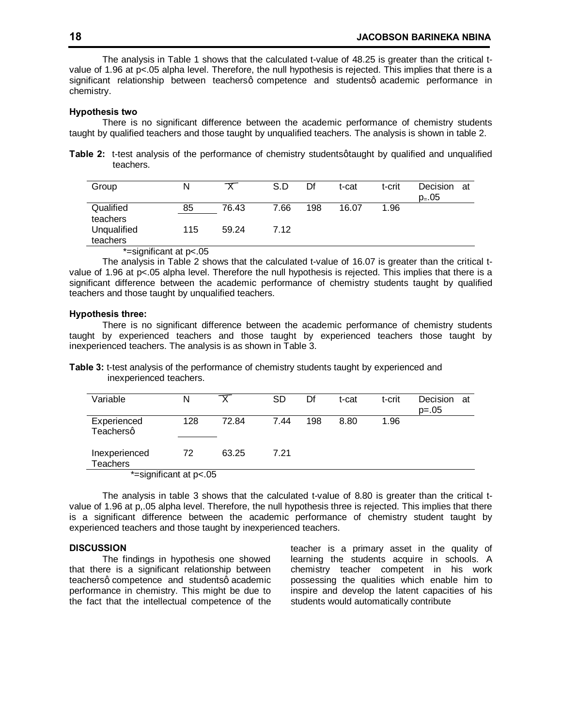The analysis in Table 1 shows that the calculated t-value of 48.25 is greater than the critical tvalue of 1.96 at p<.05 alpha level. Therefore, the null hypothesis is rejected. This implies that there is a significant relationship between teachersq competence and studentsq academic performance in chemistry.

#### **Hypothesis two**

There is no significant difference between the academic performance of chemistry students taught by qualified teachers and those taught by unqualified teachers. The analysis is shown in table 2.

**Table 2:** t-test analysis of the performance of chemistry students graught by qualified and unqualified teachers.

| Group                   | N   |       | S.D  | Df  | t-cat | t-crit | Decision<br>at<br>$p_ = .05$ |
|-------------------------|-----|-------|------|-----|-------|--------|------------------------------|
| Qualified<br>teachers   | 85  | 76.43 | 7.66 | 198 | 16.07 | 1.96   |                              |
| Unqualified<br>teachers | 115 | 59.24 | 7.12 |     |       |        |                              |

\*=significant at p<.05

The analysis in Table 2 shows that the calculated t-value of 16.07 is greater than the critical tvalue of 1.96 at p<.05 alpha level. Therefore the null hypothesis is rejected. This implies that there is a significant difference between the academic performance of chemistry students taught by qualified teachers and those taught by unqualified teachers.

#### **Hypothesis three:**

There is no significant difference between the academic performance of chemistry students taught by experienced teachers and those taught by experienced teachers those taught by inexperienced teachers. The analysis is as shown in Table 3.

**Table 3:** t-test analysis of the performance of chemistry students taught by experienced and inexperienced teachers.

| Variable                         | N   |       | <b>SD</b> | Df  | t-cat | t-crit | Decision<br>at<br>$p=.05$ |  |
|----------------------------------|-----|-------|-----------|-----|-------|--------|---------------------------|--|
| Experienced<br>Teachersq         | 128 | 72.84 | 7.44      | 198 | 8.80  | 1.96   |                           |  |
| Inexperienced<br><b>Teachers</b> | 72  | 63.25 | 7.21      |     |       |        |                           |  |
| *-cignificant at $p > 0$         |     |       |           |     |       |        |                           |  |

\*=significant at p<.05

The analysis in table 3 shows that the calculated t-value of 8.80 is greater than the critical tvalue of 1.96 at p,.05 alpha level. Therefore, the null hypothesis three is rejected. This implies that there is a significant difference between the academic performance of chemistry student taught by experienced teachers and those taught by inexperienced teachers.

#### **DISCUSSION**

The findings in hypothesis one showed that there is a significant relationship between teachersq competence and studentsq academic performance in chemistry. This might be due to the fact that the intellectual competence of the teacher is a primary asset in the quality of learning the students acquire in schools. A chemistry teacher competent in his work possessing the qualities which enable him to inspire and develop the latent capacities of his students would automatically contribute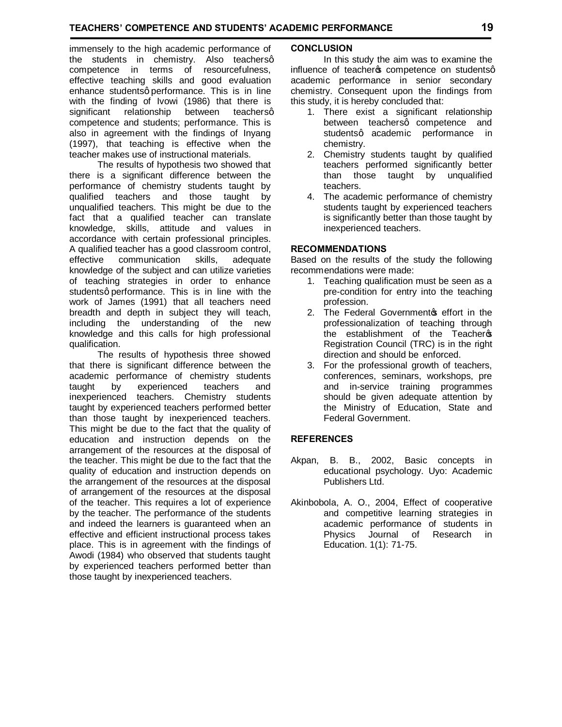immensely to the high academic performance of the students in chemistry. Also teachersq competence in terms of resourcefulness, effective teaching skills and good evaluation enhance studentsq performance. This is in line with the finding of Ivowi (1986) that there is significant relationship between teachersg competence and students; performance. This is also in agreement with the findings of Inyang (1997), that teaching is effective when the teacher makes use of instructional materials.

 The results of hypothesis two showed that there is a significant difference between the performance of chemistry students taught by qualified teachers and those taught by unqualified teachers. This might be due to the fact that a qualified teacher can translate knowledge, skills, attitude and values in accordance with certain professional principles. A qualified teacher has a good classroom control, effective communication skills, adequate knowledge of the subject and can utilize varieties of teaching strategies in order to enhance studentsq performance. This is in line with the work of James (1991) that all teachers need breadth and depth in subject they will teach, including the understanding of the new knowledge and this calls for high professional qualification.

 The results of hypothesis three showed that there is significant difference between the academic performance of chemistry students taught by experienced teachers and inexperienced teachers. Chemistry students taught by experienced teachers performed better than those taught by inexperienced teachers. This might be due to the fact that the quality of education and instruction depends on the arrangement of the resources at the disposal of the teacher. This might be due to the fact that the quality of education and instruction depends on the arrangement of the resources at the disposal of arrangement of the resources at the disposal of the teacher. This requires a lot of experience by the teacher. The performance of the students and indeed the learners is guaranteed when an effective and efficient instructional process takes place. This is in agreement with the findings of Awodi (1984) who observed that students taught by experienced teachers performed better than those taught by inexperienced teachers.

## **CONCLUSION**

In this study the aim was to examine the influence of teachers competence on studentsq academic performance in senior secondary chemistry. Consequent upon the findings from this study, it is hereby concluded that:

- 1. There exist a significant relationship between teachersq competence and studentsg academic performance in chemistry.
- 2. Chemistry students taught by qualified teachers performed significantly better than those taught by unqualified teachers.
- 4. The academic performance of chemistry students taught by experienced teachers is significantly better than those taught by inexperienced teachers.

## **RECOMMENDATIONS**

Based on the results of the study the following recommendations were made:

- 1. Teaching qualification must be seen as a pre-condition for entry into the teaching profession.
- 2. The Federal Governmentos effort in the professionalization of teaching through the establishment of the Teachers Registration Council (TRC) is in the right direction and should be enforced.
- 3. For the professional growth of teachers, conferences, seminars, workshops, pre and in-service training programmes should be given adequate attention by the Ministry of Education, State and Federal Government.

## **REFERENCES**

- Akpan, B. B., 2002, Basic concepts in educational psychology. Uyo: Academic Publishers Ltd.
- Akinbobola, A. O., 2004, Effect of cooperative and competitive learning strategies in academic performance of students in Physics Journal of Research in Education. 1(1): 71-75.